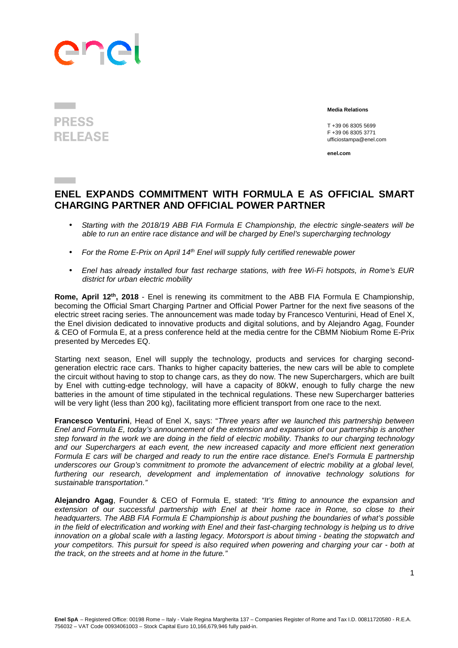## ene

## **PRESS RELEASE**

 **Media Relations** 

T +39 06 8305 5699 F +39 06 8305 3771 ufficiostampa@enel.com

**enel.com**

## **ENEL EXPANDS COMMITMENT WITH FORMULA E AS OFFICIAL SMART CHARGING PARTNER AND OFFICIAL POWER PARTNER**

- Starting with the 2018/19 ABB FIA Formula E Championship, the electric single-seaters will be able to run an entire race distance and will be charged by Enel's supercharging technology
- For the Rome E-Prix on April 14th Enel will supply fully certified renewable power
- Enel has already installed four fast recharge stations, with free Wi-Fi hotspots, in Rome's EUR district for urban electric mobility

**Rome, April 12th, 2018** - Enel is renewing its commitment to the ABB FIA Formula E Championship, becoming the Official Smart Charging Partner and Official Power Partner for the next five seasons of the electric street racing series. The announcement was made today by Francesco Venturini, Head of Enel X, the Enel division dedicated to innovative products and digital solutions, and by Alejandro Agag, Founder & CEO of Formula E, at a press conference held at the media centre for the CBMM Niobium Rome E-Prix presented by Mercedes EQ.

Starting next season, Enel will supply the technology, products and services for charging secondgeneration electric race cars. Thanks to higher capacity batteries, the new cars will be able to complete the circuit without having to stop to change cars, as they do now. The new Superchargers, which are built by Enel with cutting-edge technology, will have a capacity of 80kW, enough to fully charge the new batteries in the amount of time stipulated in the technical regulations. These new Supercharger batteries will be very light (less than 200 kg), facilitating more efficient transport from one race to the next.

**Francesco Venturini**, Head of Enel X, says: "Three years after we launched this partnership between Enel and Formula E, today's announcement of the extension and expansion of our partnership is another step forward in the work we are doing in the field of electric mobility. Thanks to our charging technology and our Superchargers at each event, the new increased capacity and more efficient next generation Formula E cars will be charged and ready to run the entire race distance. Enel's Formula E partnership underscores our Group's commitment to promote the advancement of electric mobility at a global level, furthering our research, development and implementation of innovative technology solutions for sustainable transportation."

**Alejandro Agag**, Founder & CEO of Formula E, stated: "It's fitting to announce the expansion and extension of our successful partnership with Enel at their home race in Rome, so close to their headquarters. The ABB FIA Formula E Championship is about pushing the boundaries of what's possible in the field of electrification and working with Enel and their fast-charging technology is helping us to drive innovation on a global scale with a lasting legacy. Motorsport is about timing - beating the stopwatch and your competitors. This pursuit for speed is also required when powering and charging your car - both at the track, on the streets and at home in the future."